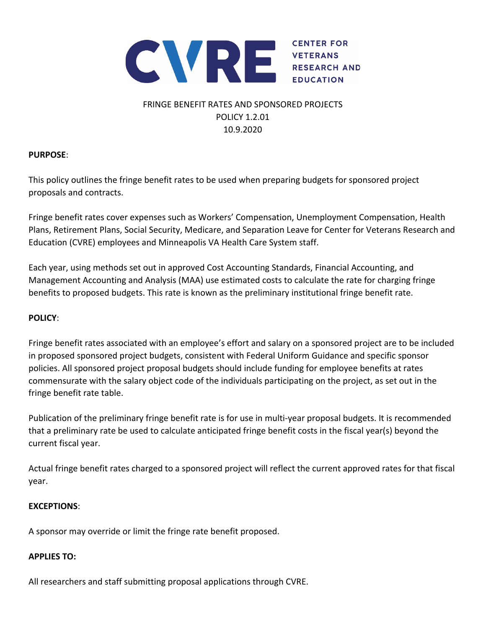

# FRINGE BENEFIT RATES AND SPONSORED PROJECTS POLICY 1.2.01 10.9.2020

# **PURPOSE**:

This policy outlines the fringe benefit rates to be used when preparing budgets for sponsored project proposals and contracts.

Fringe benefit rates cover expenses such as Workers' Compensation, Unemployment Compensation, Health Plans, Retirement Plans, Social Security, Medicare, and Separation Leave for Center for Veterans Research and Education (CVRE) employees and Minneapolis VA Health Care System staff.

Each year, using methods set out in approved Cost Accounting Standards, Financial Accounting, and Management Accounting and Analysis (MAA) use estimated costs to calculate the rate for charging fringe benefits to proposed budgets. This rate is known as the preliminary institutional fringe benefit rate.

# **POLICY**:

Fringe benefit rates associated with an employee's effort and salary on a sponsored project are to be included in proposed sponsored project budgets, consistent with Federal Uniform Guidance and specific sponsor policies. All sponsored project proposal budgets should include funding for employee benefits at rates commensurate with the salary object code of the individuals participating on the project, as set out in the fringe benefit rate table.

Publication of the preliminary fringe benefit rate is for use in multi‐year proposal budgets. It is recommended that a preliminary rate be used to calculate anticipated fringe benefit costs in the fiscal year(s) beyond the current fiscal year.

Actual fringe benefit rates charged to a sponsored project will reflect the current approved rates for that fiscal year.

## **EXCEPTIONS**:

A sponsor may override or limit the fringe rate benefit proposed.

## **APPLIES TO:**

All researchers and staff submitting proposal applications through CVRE.